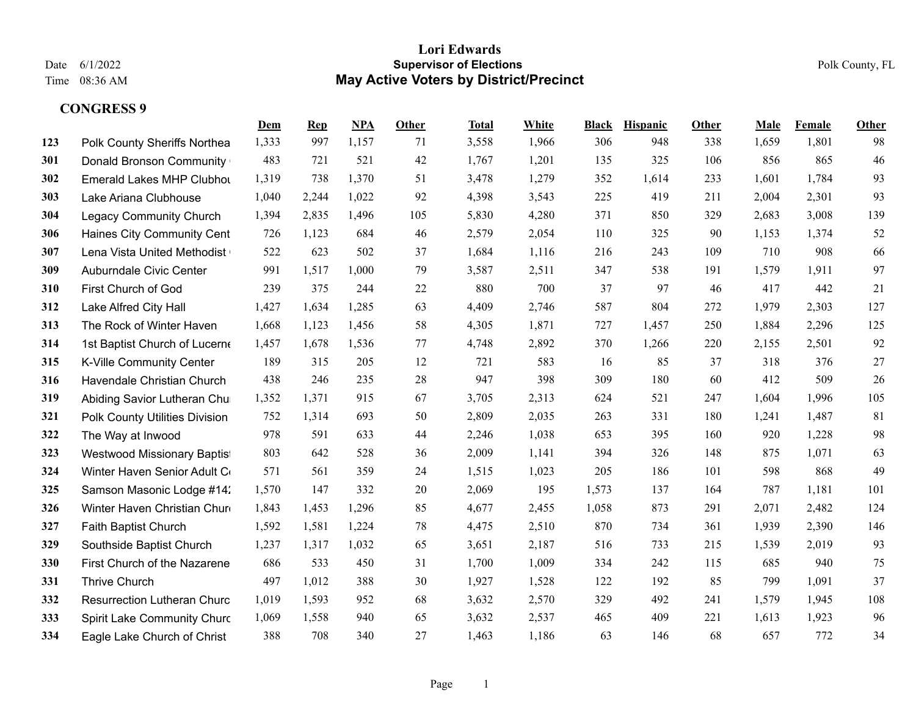|     |                                    | Dem   | $\mathbf{Rep}$ | NPA   | Other | <b>Total</b> | White | <b>Black</b> | <b>Hispanic</b> | Other | Male  | Female | <b>Other</b> |
|-----|------------------------------------|-------|----------------|-------|-------|--------------|-------|--------------|-----------------|-------|-------|--------|--------------|
| 123 | Polk County Sheriffs Northea       | 1,333 | 997            | 1,157 | 71    | 3,558        | 1,966 | 306          | 948             | 338   | 1,659 | 1,801  | 98           |
| 301 | <b>Donald Bronson Community</b>    | 483   | 721            | 521   | 42    | 1,767        | 1,201 | 135          | 325             | 106   | 856   | 865    | 46           |
| 302 | Emerald Lakes MHP Clubhot          | 1,319 | 738            | 1,370 | 51    | 3,478        | 1,279 | 352          | 1,614           | 233   | 1,601 | 1,784  | 93           |
| 303 | Lake Ariana Clubhouse              | 1,040 | 2,244          | 1,022 | 92    | 4,398        | 3,543 | 225          | 419             | 211   | 2,004 | 2,301  | 93           |
| 304 | <b>Legacy Community Church</b>     | 1,394 | 2,835          | 1,496 | 105   | 5,830        | 4,280 | 371          | 850             | 329   | 2,683 | 3,008  | 139          |
| 306 | Haines City Community Cent         | 726   | 1,123          | 684   | 46    | 2,579        | 2,054 | 110          | 325             | 90    | 1,153 | 1,374  | 52           |
| 307 | Lena Vista United Methodist        | 522   | 623            | 502   | 37    | 1,684        | 1,116 | 216          | 243             | 109   | 710   | 908    | 66           |
| 309 | Auburndale Civic Center            | 991   | 1,517          | 1,000 | 79    | 3,587        | 2,511 | 347          | 538             | 191   | 1,579 | 1,911  | 97           |
| 310 | First Church of God                | 239   | 375            | 244   | 22    | 880          | 700   | 37           | 97              | 46    | 417   | 442    | 21           |
| 312 | Lake Alfred City Hall              | 1,427 | 1,634          | 1,285 | 63    | 4,409        | 2,746 | 587          | 804             | 272   | 1,979 | 2,303  | 127          |
| 313 | The Rock of Winter Haven           | 1,668 | 1,123          | 1,456 | 58    | 4,305        | 1,871 | 727          | 1,457           | 250   | 1,884 | 2,296  | 125          |
| 314 | 1st Baptist Church of Lucerne      | 1,457 | 1,678          | 1,536 | 77    | 4,748        | 2,892 | 370          | 1,266           | 220   | 2,155 | 2,501  | 92           |
| 315 | K-Ville Community Center           | 189   | 315            | 205   | 12    | 721          | 583   | -16          | 85              | 37    | 318   | 376    | 27           |
| 316 | Havendale Christian Church         | 438   | 246            | 235   | 28    | 947          | 398   | 309          | 180             | 60    | 412   | 509    | 26           |
| 319 | Abiding Savior Lutheran Chu        | 1,352 | 1,371          | 915   | 67    | 3,705        | 2,313 | 624          | 521             | 247   | 1,604 | 1,996  | 105          |
| 321 | Polk County Utilities Division     | 752   | 1,314          | 693   | 50    | 2,809        | 2,035 | 263          | 331             | 180   | 1,241 | 1,487  | 81           |
| 322 | The Way at Inwood                  | 978   | 591            | 633   | 44    | 2,246        | 1,038 | 653          | 395             | 160   | 920   | 1,228  | 98           |
| 323 | Westwood Missionary Baptis         | 803   | 642            | 528   | 36    | 2,009        | 1,141 | 394          | 326             | 148   | 875   | 1,071  | 63           |
| 324 | Winter Haven Senior Adult C        | 571   | 561            | 359   | 24    | 1,515        | 1,023 | 205          | 186             | 101   | 598   | 868    | 49           |
| 325 | Samson Masonic Lodge #14.          | 1,570 | 147            | 332   | 20    | 2,069        | 195   | 1,573        | 137             | 164   | 787   | 1,181  | 101          |
| 326 | Winter Haven Christian Chur        | 1,843 | 1,453          | 1,296 | 85    | 4,677        | 2,455 | 1,058        | 873             | 291   | 2,071 | 2,482  | 124          |
| 327 | Faith Baptist Church               | 1,592 | 1,581          | 1,224 | 78    | 4,475        | 2,510 | 870          | 734             | 361   | 1,939 | 2,390  | 146          |
| 329 | Southside Baptist Church           | 1,237 | 1,317          | 1,032 | 65    | 3,651        | 2,187 | 516          | 733             | 215   | 1,539 | 2,019  | 93           |
| 330 | First Church of the Nazarene       | 686   | 533            | 450   | 31    | 1,700        | 1,009 | 334          | 242             | 115   | 685   | 940    | 75           |
| 331 | Thrive Church                      | 497   | 1,012          | 388   | 30    | 1,927        | 1,528 | 122          | 192             | 85    | 799   | 1,091  | 37           |
| 332 | <b>Resurrection Lutheran Churc</b> | 1,019 | 1,593          | 952   | 68    | 3,632        | 2,570 | 329          | 492             | 241   | 1,579 | 1,945  | 108          |
| 333 | Spirit Lake Community Churc        | 1,069 | 1,558          | 940   | 65    | 3,632        | 2,537 | 465          | 409             | 221   | 1,613 | 1,923  | 96           |
| 334 | Eagle Lake Church of Christ        | 388   | 708            | 340   | 27    | 1,463        | 1,186 | 63           | 146             | 68    | 657   | 772    | 34           |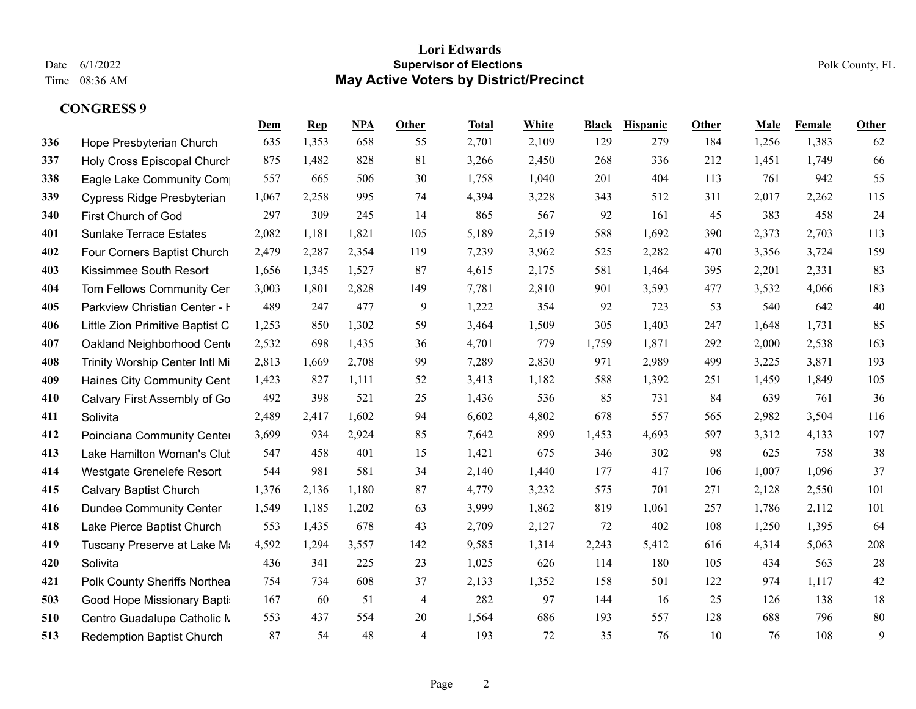|     |                                  | <u>Dem</u> | <b>Rep</b> | NPA   | Other          | <b>Total</b> | White | <b>Black</b> | <b>Hispanic</b> | Other | Male  | Female | Other |
|-----|----------------------------------|------------|------------|-------|----------------|--------------|-------|--------------|-----------------|-------|-------|--------|-------|
| 336 | Hope Presbyterian Church         | 635        | 1,353      | 658   | 55             | 2,701        | 2,109 | 129          | 279             | 184   | 1,256 | 1,383  | 62    |
| 337 | Holy Cross Episcopal Church      | 875        | 1,482      | 828   | 81             | 3,266        | 2,450 | 268          | 336             | 212   | 1,451 | 1,749  | 66    |
| 338 | Eagle Lake Community Com         | 557        | 665        | 506   | 30             | 1,758        | 1,040 | 201          | 404             | 113   | 761   | 942    | 55    |
| 339 | Cypress Ridge Presbyterian       | 1,067      | 2,258      | 995   | 74             | 4,394        | 3,228 | 343          | 512             | 311   | 2,017 | 2,262  | 115   |
| 340 | First Church of God              | 297        | 309        | 245   | 14             | 865          | 567   | 92           | 161             | 45    | 383   | 458    | 24    |
| 401 | <b>Sunlake Terrace Estates</b>   | 2,082      | 1,181      | 1,821 | 105            | 5,189        | 2,519 | 588          | 1,692           | 390   | 2,373 | 2,703  | 113   |
| 402 | Four Corners Baptist Church      | 2,479      | 2,287      | 2,354 | 119            | 7,239        | 3,962 | 525          | 2,282           | 470   | 3,356 | 3,724  | 159   |
| 403 | Kissimmee South Resort           | 1,656      | 1,345      | 1,527 | 87             | 4,615        | 2,175 | 581          | 1,464           | 395   | 2,201 | 2,331  | 83    |
| 404 | Tom Fellows Community Cer        | 3,003      | 1,801      | 2,828 | 149            | 7,781        | 2,810 | 901          | 3,593           | 477   | 3,532 | 4,066  | 183   |
| 405 | Parkview Christian Center - I    | 489        | 247        | 477   | 9              | 1,222        | 354   | 92           | 723             | 53    | 540   | 642    | 40    |
| 406 | Little Zion Primitive Baptist C  | 1,253      | 850        | 1,302 | 59             | 3,464        | 1,509 | 305          | 1,403           | 247   | 1,648 | 1,731  | 85    |
| 407 | Oakland Neighborhood Cent        | 2,532      | 698        | 1,435 | 36             | 4,701        | 779   | 1,759        | 1,871           | 292   | 2,000 | 2,538  | 163   |
| 408 | Trinity Worship Center Intl Mi   | 2,813      | 1,669      | 2,708 | 99             | 7,289        | 2,830 | 971          | 2,989           | 499   | 3,225 | 3,871  | 193   |
| 409 | Haines City Community Cent       | 1,423      | 827        | 1,111 | 52             | 3,413        | 1,182 | 588          | 1,392           | 251   | 1,459 | 1,849  | 105   |
| 410 | Calvary First Assembly of Go     | 492        | 398        | 521   | 25             | 1,436        | 536   | 85           | 731             | 84    | 639   | 761    | 36    |
| 411 | Solivita                         | 2,489      | 2,417      | 1,602 | 94             | 6,602        | 4,802 | 678          | 557             | 565   | 2,982 | 3,504  | 116   |
| 412 | Poinciana Community Center       | 3,699      | 934        | 2,924 | 85             | 7,642        | 899   | 1,453        | 4,693           | 597   | 3,312 | 4,133  | 197   |
| 413 | Lake Hamilton Woman's Clut       | 547        | 458        | 401   | 15             | 1,421        | 675   | 346          | 302             | 98    | 625   | 758    | 38    |
| 414 | Westgate Grenelefe Resort        | 544        | 981        | 581   | 34             | 2,140        | 1,440 | 177          | 417             | 106   | 1,007 | 1,096  | 37    |
| 415 | <b>Calvary Baptist Church</b>    | 1,376      | 2,136      | 1,180 | 87             | 4,779        | 3,232 | 575          | 701             | 271   | 2,128 | 2,550  | 101   |
| 416 | <b>Dundee Community Center</b>   | 1,549      | 1,185      | 1,202 | 63             | 3,999        | 1,862 | 819          | 1,061           | 257   | 1,786 | 2,112  | 101   |
| 418 | Lake Pierce Baptist Church       | 553        | 1,435      | 678   | 43             | 2,709        | 2,127 | 72           | 402             | 108   | 1,250 | 1,395  | 64    |
| 419 | Tuscany Preserve at Lake Ma      | 4,592      | 1,294      | 3,557 | 142            | 9,585        | 1,314 | 2,243        | 5,412           | 616   | 4,314 | 5,063  | 208   |
| 420 | Solivita                         | 436        | 341        | 225   | 23             | 1,025        | 626   | 114          | 180             | 105   | 434   | 563    | 28    |
| 421 | Polk County Sheriffs Northea     | 754        | 734        | 608   | 37             | 2,133        | 1,352 | 158          | 501             | 122   | 974   | 1,117  | 42    |
| 503 | Good Hope Missionary Bapti:      | 167        | 60         | 51    | $\overline{4}$ | 282          | 97    | 144          | 16              | 25    | 126   | 138    | 18    |
| 510 | Centro Guadalupe Catholic M      | 553        | 437        | 554   | 20             | 1,564        | 686   | 193          | 557             | 128   | 688   | 796    | 80    |
| 513 | <b>Redemption Baptist Church</b> | 87         | 54         | 48    | $\overline{4}$ | 193          | 72    | 35           | 76              | 10    | 76    | 108    | 9     |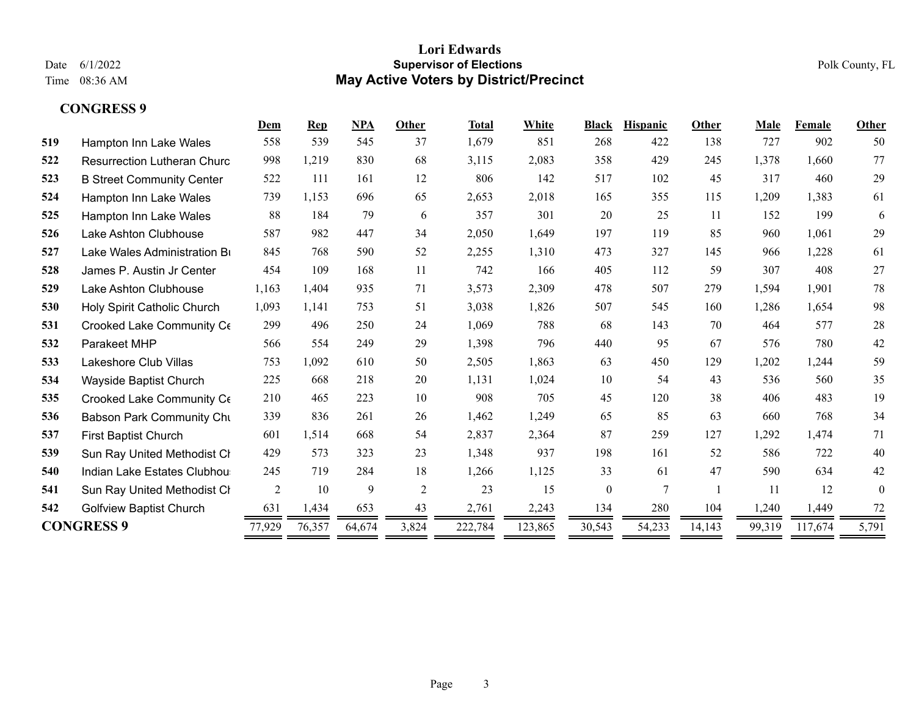|     |                                    | Dem            | <b>Rep</b> | NPA    | Other          | Total   | White   | <b>Black</b> | Hispanic | Other  | Male   | Female  | Other    |
|-----|------------------------------------|----------------|------------|--------|----------------|---------|---------|--------------|----------|--------|--------|---------|----------|
| 519 | Hampton Inn Lake Wales             | 558            | 539        | 545    | 37             | 1,679   | 851     | 268          | 422      | 138    | 727    | 902     | 50       |
| 522 | <b>Resurrection Lutheran Churc</b> | 998            | 1,219      | 830    | 68             | 3,115   | 2,083   | 358          | 429      | 245    | 1,378  | 1,660   | 77       |
| 523 | <b>B Street Community Center</b>   | 522            | 111        | 161    | 12             | 806     | 142     | 517          | 102      | 45     | 317    | 460     | 29       |
| 524 | Hampton Inn Lake Wales             | 739            | 1,153      | 696    | 65             | 2,653   | 2,018   | 165          | 355      | 115    | 1,209  | 1,383   | 61       |
| 525 | Hampton Inn Lake Wales             | 88             | 184        | 79     | 6              | 357     | 301     | 20           | 25       | 11     | 152    | 199     | 6        |
| 526 | Lake Ashton Clubhouse              | 587            | 982        | 447    | 34             | 2,050   | 1,649   | 197          | 119      | 85     | 960    | 1,061   | 29       |
| 527 | Lake Wales Administration Br       | 845            | 768        | 590    | 52             | 2,255   | 1,310   | 473          | 327      | 145    | 966    | 1,228   | 61       |
| 528 | James P. Austin Jr Center          | 454            | 109        | 168    | 11             | 742     | 166     | 405          | 112      | 59     | 307    | 408     | 27       |
| 529 | Lake Ashton Clubhouse              | 1,163          | 1,404      | 935    | 71             | 3,573   | 2,309   | 478          | 507      | 279    | 1,594  | 1,901   | $78\,$   |
| 530 | Holy Spirit Catholic Church        | 1,093          | 1,141      | 753    | 51             | 3,038   | 1,826   | 507          | 545      | 160    | 1,286  | 1,654   | 98       |
| 531 | Crooked Lake Community Ce          | 299            | 496        | 250    | 24             | 1,069   | 788     | 68           | 143      | 70     | 464    | 577     | 28       |
| 532 | Parakeet MHP                       | 566            | 554        | 249    | 29             | 1,398   | 796     | 440          | 95       | 67     | 576    | 780     | 42       |
| 533 | Lakeshore Club Villas              | 753            | 1,092      | 610    | 50             | 2,505   | 1,863   | 63           | 450      | 129    | 1,202  | 1,244   | 59       |
| 534 | Wayside Baptist Church             | 225            | 668        | 218    | 20             | 1,131   | 1,024   | 10           | 54       | 43     | 536    | 560     | 35       |
| 535 | Crooked Lake Community Ce          | 210            | 465        | 223    | 10             | 908     | 705     | 45           | 120      | 38     | 406    | 483     | 19       |
| 536 | <b>Babson Park Community Chu</b>   | 339            | 836        | 261    | 26             | 1,462   | 1,249   | 65           | 85       | 63     | 660    | 768     | 34       |
| 537 | <b>First Baptist Church</b>        | 601            | 1,514      | 668    | 54             | 2,837   | 2,364   | 87           | 259      | 127    | 1,292  | 1,474   | 71       |
| 539 | Sun Ray United Methodist Cl        | 429            | 573        | 323    | 23             | 1,348   | 937     | 198          | 161      | 52     | 586    | 722     | 40       |
| 540 | Indian Lake Estates Clubhou        | 245            | 719        | 284    | 18             | 1,266   | 1,125   | 33           | 61       | 47     | 590    | 634     | 42       |
| 541 | Sun Ray United Methodist Cl        | $\overline{2}$ | 10         | 9      | $\overline{2}$ | 23      | 15      | $\mathbf{0}$ | 7        |        | 11     | 12      | $\theta$ |
| 542 | <b>Golfview Baptist Church</b>     | 631            | 1,434      | 653    | 43             | 2,761   | 2,243   | 134          | 280      | 104    | 1,240  | 1,449   | 72       |
|     | <b>CONGRESS 9</b>                  | 77,929         | 76,357     | 64,674 | 3,824          | 222,784 | 123,865 | 30,543       | 54,233   | 14,143 | 99,319 | 117,674 | 5,791    |
|     |                                    |                |            |        |                |         |         |              |          |        |        |         |          |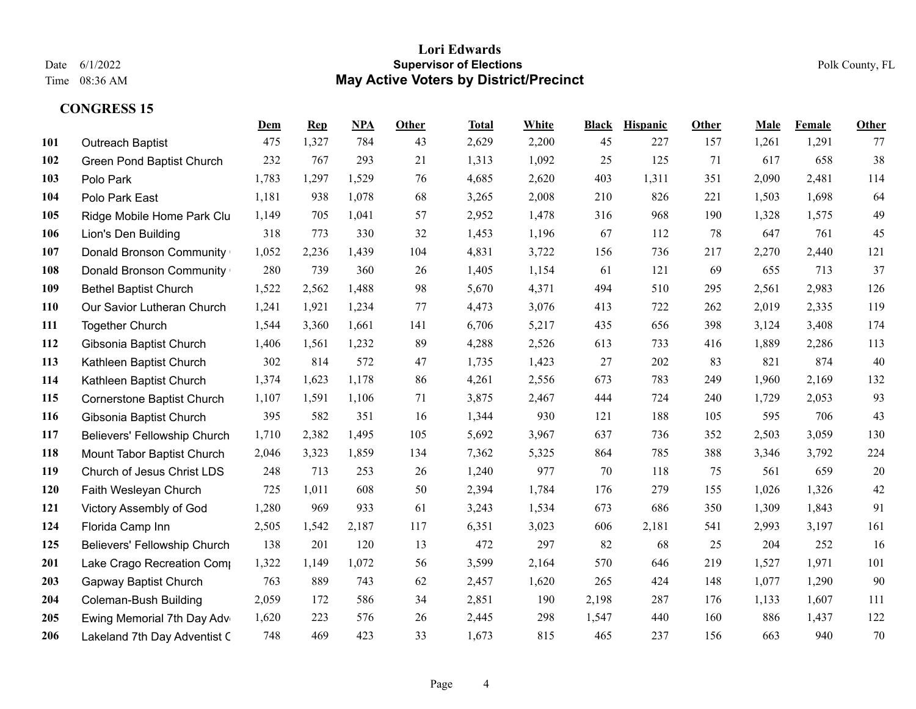## **Lori Edwards** Date 6/1/2022 **Supervisor of Elections** Polk County, FL Time 08:36 AM **May Active Voters by District/Precinct**

|            |                                  | Dem   | Rep   | <b>NPA</b> | Other | <b>Total</b> | White | <b>Black</b> | <b>Hispanic</b> | Other | Male  | Female | Other |
|------------|----------------------------------|-------|-------|------------|-------|--------------|-------|--------------|-----------------|-------|-------|--------|-------|
| 101        | <b>Outreach Baptist</b>          | 475   | 1,327 | 784        | 43    | 2,629        | 2,200 | 45           | 227             | 157   | 1,261 | 1,291  | 77    |
| 102        | <b>Green Pond Baptist Church</b> | 232   | 767   | 293        | 21    | 1,313        | 1,092 | 25           | 125             | 71    | 617   | 658    | 38    |
| 103        | Polo Park                        | 1,783 | 1,297 | 1,529      | 76    | 4,685        | 2,620 | 403          | 1,311           | 351   | 2,090 | 2,481  | 114   |
| 104        | Polo Park East                   | 1,181 | 938   | 1,078      | 68    | 3,265        | 2,008 | 210          | 826             | 221   | 1,503 | 1,698  | 64    |
| 105        | Ridge Mobile Home Park Clu       | 1,149 | 705   | 1,041      | 57    | 2,952        | 1,478 | 316          | 968             | 190   | 1,328 | 1,575  | 49    |
| 106        | Lion's Den Building              | 318   | 773   | 330        | 32    | 1,453        | 1,196 | 67           | 112             | 78    | 647   | 761    | 45    |
| 107        | <b>Donald Bronson Community</b>  | 1,052 | 2,236 | 1,439      | 104   | 4,831        | 3,722 | 156          | 736             | 217   | 2,270 | 2,440  | 121   |
| 108        | <b>Donald Bronson Community</b>  | 280   | 739   | 360        | 26    | 1,405        | 1,154 | 61           | 121             | 69    | 655   | 713    | 37    |
| 109        | <b>Bethel Baptist Church</b>     | 1,522 | 2,562 | 1,488      | 98    | 5,670        | 4,371 | 494          | 510             | 295   | 2,561 | 2,983  | 126   |
| <b>110</b> | Our Savior Lutheran Church       | 1,241 | 1,921 | 1,234      | 77    | 4,473        | 3,076 | 413          | 722             | 262   | 2,019 | 2,335  | 119   |
| 111        | <b>Together Church</b>           | 1,544 | 3,360 | 1,661      | 141   | 6,706        | 5,217 | 435          | 656             | 398   | 3,124 | 3,408  | 174   |
| 112        | Gibsonia Baptist Church          | 1,406 | 1,561 | 1,232      | 89    | 4,288        | 2,526 | 613          | 733             | 416   | 1,889 | 2,286  | 113   |
| 113        | Kathleen Baptist Church          | 302   | 814   | 572        | 47    | 1,735        | 1,423 | 27           | 202             | 83    | 821   | 874    | 40    |
| 114        | Kathleen Baptist Church          | 1,374 | 1,623 | 1,178      | 86    | 4,261        | 2,556 | 673          | 783             | 249   | 1,960 | 2,169  | 132   |
| 115        | Cornerstone Baptist Church       | 1,107 | 1,591 | 1,106      | 71    | 3,875        | 2,467 | 444          | 724             | 240   | 1,729 | 2,053  | 93    |
| 116        | Gibsonia Baptist Church          | 395   | 582   | 351        | 16    | 1,344        | 930   | 121          | 188             | 105   | 595   | 706    | 43    |
| 117        | Believers' Fellowship Church     | 1,710 | 2,382 | 1,495      | 105   | 5,692        | 3,967 | 637          | 736             | 352   | 2,503 | 3,059  | 130   |
| 118        | Mount Tabor Baptist Church       | 2,046 | 3,323 | 1,859      | 134   | 7,362        | 5,325 | 864          | 785             | 388   | 3,346 | 3,792  | 224   |
| 119        | Church of Jesus Christ LDS       | 248   | 713   | 253        | 26    | 1,240        | 977   | 70           | 118             | 75    | 561   | 659    | 20    |
| 120        | Faith Wesleyan Church            | 725   | 1,011 | 608        | 50    | 2,394        | 1,784 | 176          | 279             | 155   | 1,026 | 1,326  | 42    |
| 121        | Victory Assembly of God          | 1,280 | 969   | 933        | 61    | 3,243        | 1,534 | 673          | 686             | 350   | 1,309 | 1,843  | 91    |
| 124        | Florida Camp Inn                 | 2,505 | 1,542 | 2,187      | 117   | 6,351        | 3,023 | 606          | 2,181           | 541   | 2,993 | 3,197  | 161   |
| 125        | Believers' Fellowship Church     | 138   | 201   | 120        | 13    | 472          | 297   | 82           | 68              | 25    | 204   | 252    | 16    |
| 201        | Lake Crago Recreation Comp       | 1,322 | 1,149 | 1,072      | 56    | 3,599        | 2,164 | 570          | 646             | 219   | 1,527 | 1,971  | 101   |
| 203        | <b>Gapway Baptist Church</b>     | 763   | 889   | 743        | 62    | 2,457        | 1,620 | 265          | 424             | 148   | 1,077 | 1,290  | 90    |
| 204        | <b>Coleman-Bush Building</b>     | 2,059 | 172   | 586        | 34    | 2,851        | 190   | 2,198        | 287             | 176   | 1,133 | 1,607  | 111   |
| 205        | Ewing Memorial 7th Day Adv       | 1,620 | 223   | 576        | 26    | 2,445        | 298   | 1,547        | 440             | 160   | 886   | 1,437  | 122   |
| 206        | Lakeland 7th Day Adventist C     | 748   | 469   | 423        | 33    | 1,673        | 815   | 465          | 237             | 156   | 663   | 940    | 70    |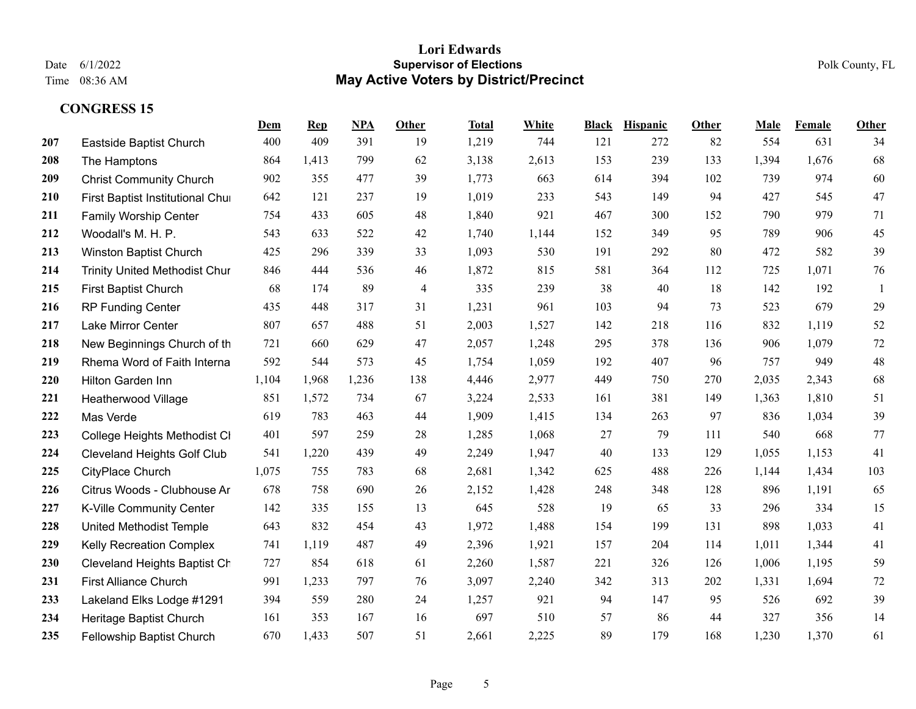## **Lori Edwards** Date 6/1/2022 **Supervisor of Elections** Polk County, FL Time 08:36 AM **May Active Voters by District/Precinct**

|            |                                      | <u>Dem</u> | <b>Rep</b> | NPA   | <b>Other</b>            | <b>Total</b> | White | <b>Black</b> | <b>Hispanic</b> | Other | Male  | Female | Other  |
|------------|--------------------------------------|------------|------------|-------|-------------------------|--------------|-------|--------------|-----------------|-------|-------|--------|--------|
| 207        | Eastside Baptist Church              | 400        | 409        | 391   | 19                      | 1,219        | 744   | 121          | 272             | 82    | 554   | 631    | 34     |
| 208        | The Hamptons                         | 864        | 1,413      | 799   | 62                      | 3,138        | 2,613 | 153          | 239             | 133   | 1,394 | 1,676  | 68     |
| 209        | <b>Christ Community Church</b>       | 902        | 355        | 477   | 39                      | 1,773        | 663   | 614          | 394             | 102   | 739   | 974    | 60     |
| 210        | First Baptist Institutional Chui     | 642        | 121        | 237   | 19                      | 1,019        | 233   | 543          | 149             | 94    | 427   | 545    | 47     |
| 211        | <b>Family Worship Center</b>         | 754        | 433        | 605   | 48                      | 1,840        | 921   | 467          | 300             | 152   | 790   | 979    | 71     |
| 212        | Woodall's M. H. P.                   | 543        | 633        | 522   | 42                      | 1,740        | 1,144 | 152          | 349             | 95    | 789   | 906    | 45     |
| 213        | Winston Baptist Church               | 425        | 296        | 339   | 33                      | 1,093        | 530   | 191          | 292             | 80    | 472   | 582    | 39     |
| 214        | <b>Trinity United Methodist Chur</b> | 846        | 444        | 536   | 46                      | 1,872        | 815   | 581          | 364             | 112   | 725   | 1,071  | $76\,$ |
| 215        | <b>First Baptist Church</b>          | 68         | 174        | 89    | $\overline{\mathbf{4}}$ | 335          | 239   | 38           | 40              | 18    | 142   | 192    |        |
| 216        | <b>RP Funding Center</b>             | 435        | 448        | 317   | 31                      | 1,231        | 961   | 103          | 94              | 73    | 523   | 679    | 29     |
| 217        | Lake Mirror Center                   | 807        | 657        | 488   | 51                      | 2,003        | 1,527 | 142          | 218             | 116   | 832   | 1,119  | 52     |
| 218        | New Beginnings Church of th          | 721        | 660        | 629   | 47                      | 2,057        | 1,248 | 295          | 378             | 136   | 906   | 1,079  | $72\,$ |
| 219        | Rhema Word of Faith Interna          | 592        | 544        | 573   | 45                      | 1,754        | 1,059 | 192          | 407             | 96    | 757   | 949    | 48     |
| 220        | Hilton Garden Inn                    | 1,104      | 1,968      | 1,236 | 138                     | 4,446        | 2,977 | 449          | 750             | 270   | 2,035 | 2,343  | 68     |
| 221        | Heatherwood Village                  | 851        | 1,572      | 734   | 67                      | 3,224        | 2,533 | 161          | 381             | 149   | 1,363 | 1,810  | 51     |
| 222        | Mas Verde                            | 619        | 783        | 463   | 44                      | 1,909        | 1,415 | 134          | 263             | 97    | 836   | 1,034  | 39     |
| 223        | College Heights Methodist CI         | 401        | 597        | 259   | 28                      | 1,285        | 1,068 | 27           | 79              | 111   | 540   | 668    | 77     |
| 224        | <b>Cleveland Heights Golf Club</b>   | 541        | 1,220      | 439   | 49                      | 2,249        | 1,947 | 40           | 133             | 129   | 1,055 | 1,153  | 41     |
| 225        | CityPlace Church                     | 1,075      | 755        | 783   | 68                      | 2,681        | 1,342 | 625          | 488             | 226   | 1,144 | 1,434  | 103    |
| 226        | Citrus Woods - Clubhouse Ar          | 678        | 758        | 690   | 26                      | 2,152        | 1,428 | 248          | 348             | 128   | 896   | 1,191  | 65     |
| 227        | K-Ville Community Center             | 142        | 335        | 155   | 13                      | 645          | 528   | 19           | 65              | 33    | 296   | 334    | 15     |
| 228        | United Methodist Temple              | 643        | 832        | 454   | 43                      | 1,972        | 1,488 | 154          | 199             | 131   | 898   | 1,033  | 41     |
| 229        | <b>Kelly Recreation Complex</b>      | 741        | 1,119      | 487   | 49                      | 2,396        | 1,921 | 157          | 204             | 114   | 1,011 | 1,344  | 41     |
| <b>230</b> | Cleveland Heights Baptist Ch         | 727        | 854        | 618   | 61                      | 2,260        | 1,587 | 221          | 326             | 126   | 1,006 | 1,195  | 59     |
| 231        | <b>First Alliance Church</b>         | 991        | 1,233      | 797   | 76                      | 3,097        | 2,240 | 342          | 313             | 202   | 1,331 | 1,694  | 72     |
| 233        | Lakeland Elks Lodge #1291            | 394        | 559        | 280   | 24                      | 1,257        | 921   | 94           | 147             | 95    | 526   | 692    | 39     |
| 234        | Heritage Baptist Church              | 161        | 353        | 167   | 16                      | 697          | 510   | 57           | 86              | 44    | 327   | 356    | 14     |
| 235        | Fellowship Baptist Church            | 670        | 1,433      | 507   | 51                      | 2,661        | 2,225 | 89           | 179             | 168   | 1,230 | 1,370  | 61     |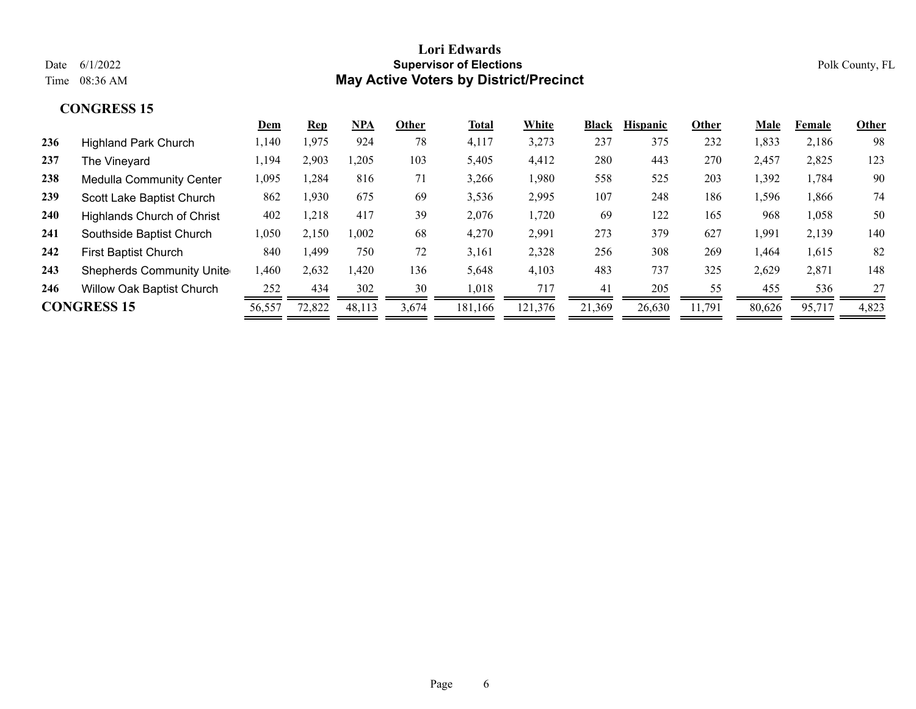|                                   | Dem   | <u>Rep</u> | NPA    | Other | Total   | White   | <b>Black</b> | <b>Hispanic</b> | Other  | Male   | Female | Other |
|-----------------------------------|-------|------------|--------|-------|---------|---------|--------------|-----------------|--------|--------|--------|-------|
| <b>Highland Park Church</b>       | 1,140 | 1,975      | 924    | 78    | 4,117   | 3,273   | 237          | 375             | 232    | 1,833  | 2,186  | 98    |
| The Vineyard                      | 1,194 | 2,903      | 0,205  | 103   | 5,405   | 4,412   | 280          | 443             | 270    | 2,457  | 2,825  | 123   |
| <b>Medulla Community Center</b>   | 1,095 | ,284       | 816    | 71    | 3,266   | 1,980   | 558          | 525             | 203    | 1,392  | 1,784  | 90    |
| Scott Lake Baptist Church         | 862   | 1,930      | 675    | 69    | 3,536   | 2,995   | 107          | 248             | 186    | 1,596  | 1,866  | 74    |
| <b>Highlands Church of Christ</b> | 402   | 1,218      | 417    | 39    | 2,076   | 1,720   | 69           | 122             | 165    | 968    | 1,058  | 50    |
| Southside Baptist Church          | 1,050 | 2,150      | 1,002  | 68    | 4,270   | 2,991   | 273          | 379             | 627    | 1,991  | 2,139  | 140   |
| <b>First Baptist Church</b>       | 840   | ,499       | 750    | 72    | 3,161   | 2,328   | 256          | 308             | 269    | 1,464  | 1,615  | 82    |
| <b>Shepherds Community Unite</b>  | 1,460 | 2,632      | ,420   | 136   | 5,648   | 4,103   | 483          | 737             | 325    | 2,629  | 2,871  | 148   |
| <b>Willow Oak Baptist Church</b>  | 252   | 434        | 302    | 30    | 1,018   | 717     | 41           | 205             | 55     | 455    | 536    | 27    |
| <b>CONGRESS 15</b>                |       | 72,822     | 48,113 | 3,674 | 181,166 | 121,376 | 21,369       | 26,630          | 11,791 | 80,626 | 95,717 | 4,823 |
|                                   |       | 56,557     |        |       |         |         |              |                 |        |        |        |       |